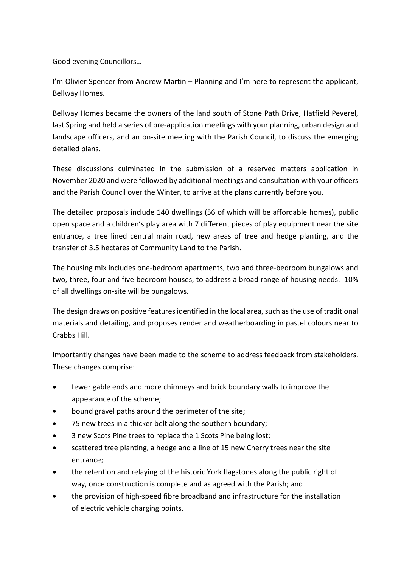Good evening Councillors…

I'm Olivier Spencer from Andrew Martin – Planning and I'm here to represent the applicant, Bellway Homes.

Bellway Homes became the owners of the land south of Stone Path Drive, Hatfield Peverel, last Spring and held a series of pre-application meetings with your planning, urban design and landscape officers, and an on-site meeting with the Parish Council, to discuss the emerging detailed plans.

These discussions culminated in the submission of a reserved matters application in November 2020 and were followed by additional meetings and consultation with your officers and the Parish Council over the Winter, to arrive at the plans currently before you.

The detailed proposals include 140 dwellings (56 of which will be affordable homes), public open space and a children's play area with 7 different pieces of play equipment near the site entrance, a tree lined central main road, new areas of tree and hedge planting, and the transfer of 3.5 hectares of Community Land to the Parish.

The housing mix includes one-bedroom apartments, two and three-bedroom bungalows and two, three, four and five-bedroom houses, to address a broad range of housing needs. 10% of all dwellings on-site will be bungalows.

The design draws on positive features identified in the local area, such as the use of traditional materials and detailing, and proposes render and weatherboarding in pastel colours near to Crabbs Hill.

Importantly changes have been made to the scheme to address feedback from stakeholders. These changes comprise:

- fewer gable ends and more chimneys and brick boundary walls to improve the appearance of the scheme;
- bound gravel paths around the perimeter of the site;
- 75 new trees in a thicker belt along the southern boundary;
- 3 new Scots Pine trees to replace the 1 Scots Pine being lost;
- scattered tree planting, a hedge and a line of 15 new Cherry trees near the site entrance;
- the retention and relaying of the historic York flagstones along the public right of way, once construction is complete and as agreed with the Parish; and
- the provision of high-speed fibre broadband and infrastructure for the installation of electric vehicle charging points.